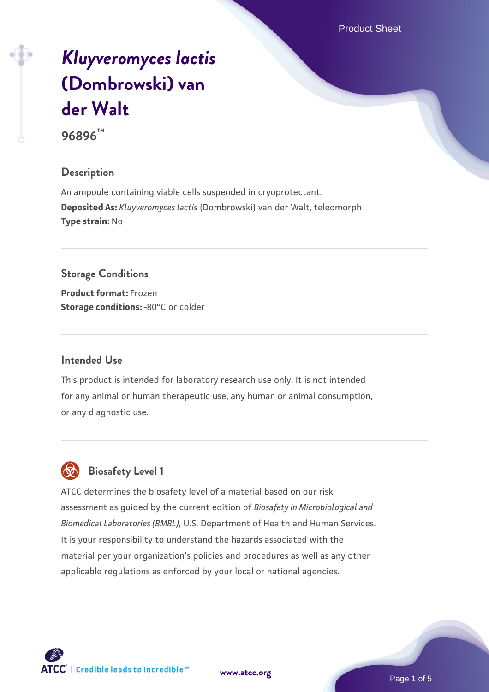Product Sheet

# *[Kluyveromyces lactis](https://www.atcc.org/products/96896)* **[\(Dombrowski\) van](https://www.atcc.org/products/96896) [der Walt](https://www.atcc.org/products/96896)**

**96896™**

## **Description**

An ampoule containing viable cells suspended in cryoprotectant. **Deposited As:** *Kluyveromyces lactis* (Dombrowski) van der Walt, teleomorph **Type strain:** No

**Storage Conditions Product format:** Frozen **Storage conditions: -80°C or colder** 

#### **Intended Use**

This product is intended for laboratory research use only. It is not intended for any animal or human therapeutic use, any human or animal consumption, or any diagnostic use.



# **Biosafety Level 1**

ATCC determines the biosafety level of a material based on our risk assessment as guided by the current edition of *Biosafety in Microbiological and Biomedical Laboratories (BMBL)*, U.S. Department of Health and Human Services. It is your responsibility to understand the hazards associated with the material per your organization's policies and procedures as well as any other applicable regulations as enforced by your local or national agencies.

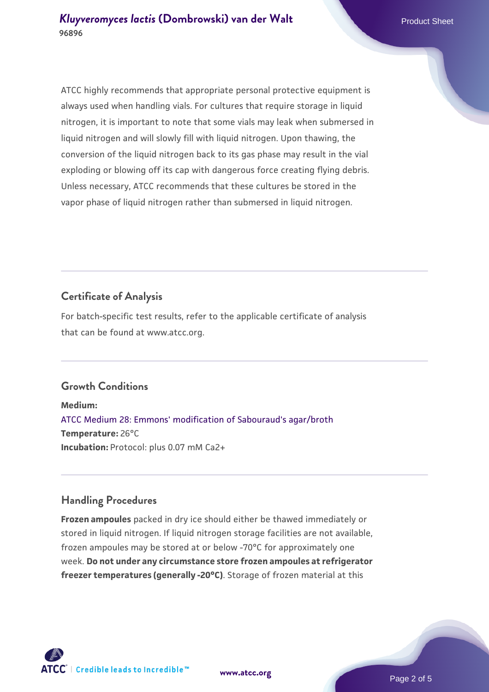ATCC highly recommends that appropriate personal protective equipment is always used when handling vials. For cultures that require storage in liquid nitrogen, it is important to note that some vials may leak when submersed in liquid nitrogen and will slowly fill with liquid nitrogen. Upon thawing, the conversion of the liquid nitrogen back to its gas phase may result in the vial exploding or blowing off its cap with dangerous force creating flying debris. Unless necessary, ATCC recommends that these cultures be stored in the vapor phase of liquid nitrogen rather than submersed in liquid nitrogen.

# **Certificate of Analysis**

For batch-specific test results, refer to the applicable certificate of analysis that can be found at www.atcc.org.

# **Growth Conditions**

**Medium:**  [ATCC Medium 28: Emmons' modification of Sabouraud's agar/broth](https://www.atcc.org/-/media/product-assets/documents/microbial-media-formulations/2/8/atcc-medium-28.pdf?rev=0da0c58cc2a343eeae735016b70809bb) **Temperature:** 26°C **Incubation:** Protocol: plus 0.07 mM Ca2+

# **Handling Procedures**

**Frozen ampoules** packed in dry ice should either be thawed immediately or stored in liquid nitrogen. If liquid nitrogen storage facilities are not available, frozen ampoules may be stored at or below -70°C for approximately one week. **Do not under any circumstance store frozen ampoules at refrigerator freezer temperatures (generally -20°C)**. Storage of frozen material at this





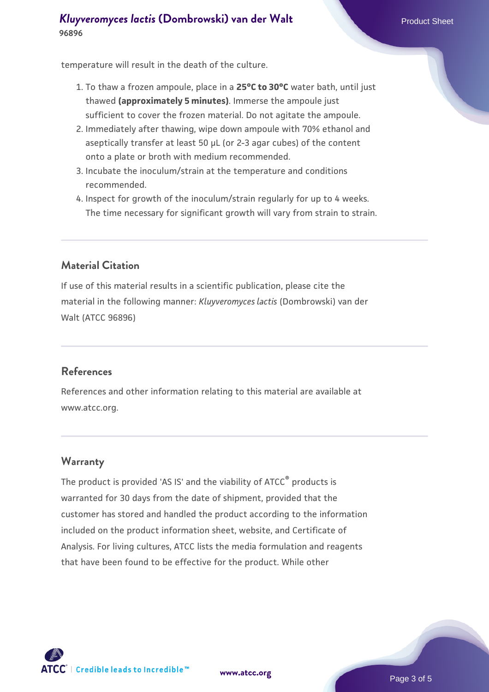## *[Kluyveromyces lactis](https://www.atcc.org/products/96896)* **[\(Dombrowski\) van der Walt](https://www.atcc.org/products/96896)** Product Sheet **96896**

temperature will result in the death of the culture.

- 1. To thaw a frozen ampoule, place in a **25°C to 30°C** water bath, until just thawed **(approximately 5 minutes)**. Immerse the ampoule just sufficient to cover the frozen material. Do not agitate the ampoule.
- 2. Immediately after thawing, wipe down ampoule with 70% ethanol and aseptically transfer at least 50 µL (or 2-3 agar cubes) of the content onto a plate or broth with medium recommended.
- 3. Incubate the inoculum/strain at the temperature and conditions recommended.
- 4. Inspect for growth of the inoculum/strain regularly for up to 4 weeks. The time necessary for significant growth will vary from strain to strain.

# **Material Citation**

If use of this material results in a scientific publication, please cite the material in the following manner: *Kluyveromyces lactis* (Dombrowski) van der Walt (ATCC 96896)

#### **References**

References and other information relating to this material are available at www.atcc.org.

#### **Warranty**

The product is provided 'AS IS' and the viability of ATCC® products is warranted for 30 days from the date of shipment, provided that the customer has stored and handled the product according to the information included on the product information sheet, website, and Certificate of Analysis. For living cultures, ATCC lists the media formulation and reagents that have been found to be effective for the product. While other



**[www.atcc.org](http://www.atcc.org)**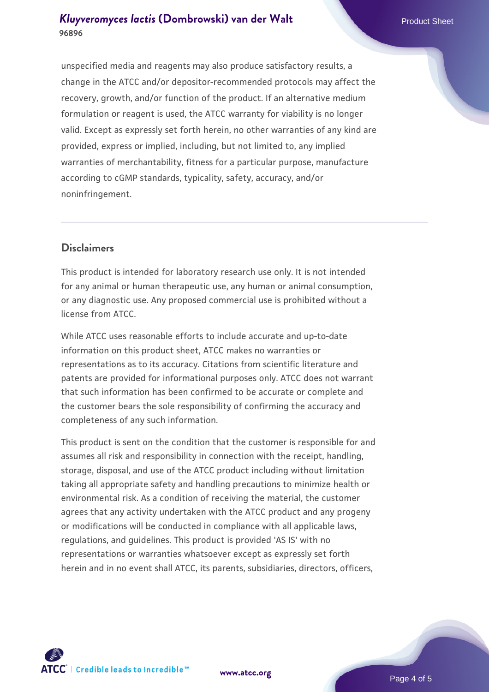# *[Kluyveromyces lactis](https://www.atcc.org/products/96896)* **[\(Dombrowski\) van der Walt](https://www.atcc.org/products/96896)** Product Sheet **96896**

unspecified media and reagents may also produce satisfactory results, a change in the ATCC and/or depositor-recommended protocols may affect the recovery, growth, and/or function of the product. If an alternative medium formulation or reagent is used, the ATCC warranty for viability is no longer valid. Except as expressly set forth herein, no other warranties of any kind are provided, express or implied, including, but not limited to, any implied warranties of merchantability, fitness for a particular purpose, manufacture according to cGMP standards, typicality, safety, accuracy, and/or noninfringement.

## **Disclaimers**

This product is intended for laboratory research use only. It is not intended for any animal or human therapeutic use, any human or animal consumption, or any diagnostic use. Any proposed commercial use is prohibited without a license from ATCC.

While ATCC uses reasonable efforts to include accurate and up-to-date information on this product sheet, ATCC makes no warranties or representations as to its accuracy. Citations from scientific literature and patents are provided for informational purposes only. ATCC does not warrant that such information has been confirmed to be accurate or complete and the customer bears the sole responsibility of confirming the accuracy and completeness of any such information.

This product is sent on the condition that the customer is responsible for and assumes all risk and responsibility in connection with the receipt, handling, storage, disposal, and use of the ATCC product including without limitation taking all appropriate safety and handling precautions to minimize health or environmental risk. As a condition of receiving the material, the customer agrees that any activity undertaken with the ATCC product and any progeny or modifications will be conducted in compliance with all applicable laws, regulations, and guidelines. This product is provided 'AS IS' with no representations or warranties whatsoever except as expressly set forth herein and in no event shall ATCC, its parents, subsidiaries, directors, officers,



**[www.atcc.org](http://www.atcc.org)**

Page 4 of 5